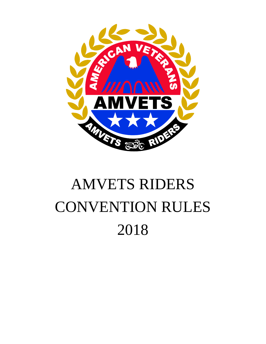

# AMVETS RIDERS CONVENTION RULES 2018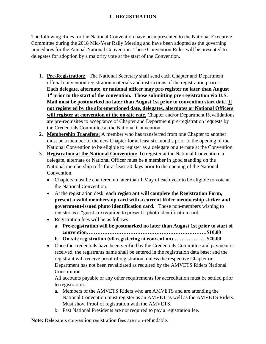# **I - REGISTRATION**

The following Rules for the National Convention have been presented to the National Executive Committee during the 2018 Mid-Year Rally Meeting and have been adopted as the governing procedures for the Annual National Convention. These Convention Rules will be presented to delegates for adoption by a majority vote at the start of the Convention.

- 1. **Pre-Registration:** The National Secretary shall send each Chapter and Department official convention registration materials and instructions of the registration process. **Each delegate, alternate, or national officer may pre-register no later than August 1 st prior to the start of the convention. Those submitting pre-registration via U.S. Mail must be postmarked no later than August 1st prior to convention start date. If not registered by the aforementioned date, delegates, alternates or National Officers will register at convention at the on-site rate.** Chapter and/or Department Revalidations are pre-requisites to acceptance of Chapter and Department pre-registration requests by the Credentials Committee at the National Convention.
- 2. **Membership Transfers:** A member who has transferred from one Chapter to another must be a member of the new Chapter for at least six months prior to the opening of the National Convention to be eligible to register as a delegate or alternate at the Convention.
- 3. **Registration at the National Convention:** To register at the National Convention, a delegate, alternate or National Officer must be a member in good standing on the National membership rolls for at least 30 days prior to the opening of the National Convention.
	- Chapters must be chartered no later than 1 May of each year to be eligible to vote at the National Convention.
	- At the registration desk, **each registrant will complete the Registration Form, present a valid membership card with a current Rider membership sticker and government-issued photo identification card.** Those non-members wishing to register as a "guest are required to present a photo identification card.
	- Registration fees will be as follows:
		- **a. Pre-registration will be postmarked no later than August 1st prior to start of convention……………………………………………………………\$10.00**
		- **b. On-site registration (all registering at convention)………………..\$20.00**
	- Once the credentials have been verified by the Credentials Committee and payment is received, the registrants name shall be entered in the registration data base; and the registrant will receive proof of registration, unless the respective Chapter or Department has not been revalidated as required by the AMVETS Riders National Constitution.

All accounts payable or any other requirements for accreditation must be settled prior to registration.

- a. Members of the AMVETS Riders who are AMVETS and are attending the National Convention must register as an AMVET as well as the AMVETS Riders. Must show Proof of registration with the AMVETS.
- b. Past National Presidents are not required to pay a registration fee.

**Note:** Delegate's convention registration fees are non-refundable.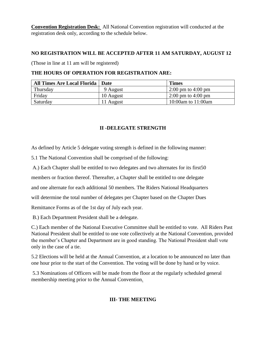**Convention Registration Desk:** All National Convention registration will conducted at the registration desk only, according to the schedule below.

#### **NO REGISTRATION WILL BE ACCEPTED AFTER 11 AM SATURDAY, AUGUST 12**

(Those in line at 11 am will be registered)

#### **THE HOURS OF OPERATION FOR REGISTRATION ARE:**

| <b>All Times Are Local Florida   Date</b> |           | <b>Times</b>                           |
|-------------------------------------------|-----------|----------------------------------------|
| Thursday                                  | 9 August  | $2:00 \text{ pm}$ to $4:00 \text{ pm}$ |
| Friday                                    | 10 August | $2:00 \text{ pm}$ to 4:00 pm           |
| Saturday                                  | 11 August | 10:00am to 11:00am                     |

# **II -DELEGATE STRENGTH**

As defined by Article 5 delegate voting strength is defined in the following manner:

5.1 The National Convention shall be comprised of the following:

A.) Each Chapter shall be entitled to two delegates and two alternates for its first50

members or fraction thereof. Thereafter, a Chapter shall be entitled to one delegate

and one alternate for each additional 50 members. The Riders National Headquarters

will determine the total number of delegates per Chapter based on the Chapter Dues

Remittance Forms as of the 1st day of July each year.

B.) Each Department President shall be a delegate.

C.) Each member of the National Executive Committee shall be entitled to vote. All Riders Past National President shall be entitled to one vote collectively at the National Convention, provided the member's Chapter and Department are in good standing. The National President shall vote only in the case of a tie.

5.2 Elections will be held at the Annual Convention, at a location to be announced no later than one hour prior to the start of the Convention. The voting will be done by hand or by voice.

5.3 Nominations of Officers will be made from the floor at the regularly scheduled general membership meeting prior to the Annual Convention.

# **III- THE MEETING**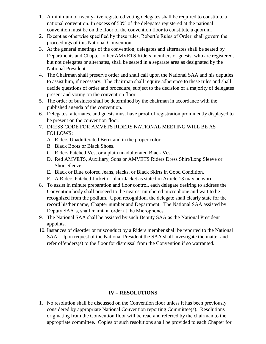- 1. A minimum of twenty-five registered voting delegates shall be required to constitute a national convention. In excess of 50% of the delegates registered at the national convention must be on the floor of the convention floor to constitute a quorum.
- 2. Except as otherwise specified by these rules, Robert's Rules of Order, shall govern the proceedings of this National Convention.
- 3. At the general meetings of the convention, delegates and alternates shall be seated by Departments and Chapter, other AMVETS Riders members or guests, who are registered, but not delegates or alternates, shall be seated in a separate area as designated by the National President.
- 4. The Chairman shall preserve order and shall call upon the National SAA and his deputies to assist him, if necessary. The chairman shall require adherence to these rules and shall decide questions of order and procedure, subject to the decision of a majority of delegates present and voting on the convention floor.
- 5. The order of business shall be determined by the chairman in accordance with the published agenda of the convention.
- 6. Delegates, alternates, and guests must have proof of registration prominently displayed to be present on the convention floor.
- 7. DRESS CODE FOR AMVETS RIDERS NATIONAL MEETING WILL BE AS FOLLOWS:
	- A. Riders Unadulterated Beret and in the proper color.
	- B. Black Boots or Black Shoes.
	- C. Riders Patched Vest or a plain unadulterated Black Vest
	- D. Red AMVETS, Auxiliary, Sons or AMVETS Riders Dress Shirt/Long Sleeve or Short Sleeve.
	- E. Black or Blue colored Jeans, slacks, or Black Skirts in Good Condition.
	- F. A Riders Patched Jacket or plain Jacket as stated in Article 13 may be worn.
- 8. To assist in minute preparation and floor control, each delegate desiring to address the Convention body shall proceed to the nearest numbered microphone and wait to be recognized from the podium. Upon recognition, the delegate shall clearly state for the record his/her name, Chapter number and Department. The National SAA assisted by Deputy SAA's, shall maintain order at the Microphones.
- 9. The National SAA shall be assisted by such Deputy SAA as the National President appoints.
- 10. Instances of disorder or misconduct by a Riders member shall be reported to the National SAA. Upon request of the National President the SAA shall investigate the matter and refer offenders(s) to the floor for dismissal from the Convention if so warranted.

# **IV – RESOLUTIONS**

1. No resolution shall be discussed on the Convention floor unless it has been previously considered by appropriate National Convention reporting Committee(s). Resolutions originating from the Convention floor will be read and referred by the chairman to the appropriate committee. Copies of such resolutions shall be provided to each Chapter for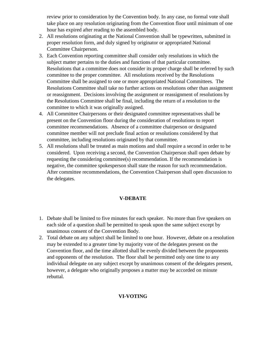review prior to consideration by the Convention body. In any case, no formal vote shall take place on any resolution originating from the Convention floor until minimum of one hour has expired after reading to the assembled body.

- 2. All resolutions originating at the National Convention shall be typewritten, submitted in proper resolution form, and duly signed by originator or appropriated National Committee Chairperson.
- 3. Each Convention reporting committee shall consider only resolutions in which the subject matter pertains to the duties and functions of that particular committee. Resolutions that a committee does not consider its proper charge shall be referred by such committee to the proper committee. All resolutions received by the Resolutions Committee shall be assigned to one or more appropriated National Committees. The Resolutions Committee shall take no further actions on resolutions other than assignment or reassignment. Decisions involving the assignment or reassignment of resolutions by the Resolutions Committee shall be final, including the return of a resolution to the committee to which it was originally assigned.
- 4. All Committee Chairpersons or their designated committee representatives shall be present on the Convention floor during the consideration of resolutions to report committee recommendations. Absence of a committee chairperson or designated committee member will not preclude final action or resolutions considered by that committee, including resolutions originated by that committee.
- 5. All resolutions shall be treated as main motions and shall require a second in order to be considered. Upon receiving a second, the Convention Chairperson shall open debate by requesting the considering committee(s) recommendation. If the recommendation is negative, the committee spokesperson shall state the reason for such recommendation. After committee recommendations, the Convention Chairperson shall open discussion to the delegates.

#### **V-DEBATE**

- 1. Debate shall be limited to five minutes for each speaker. No more than five speakers on each side of a question shall be permitted to speak upon the same subject except by unanimous consent of the Convention Body.
- 2. Total debate on any subject shall be limited to one hour. However, debate on a resolution may be extended to a greater time by majority vote of the delegates present on the Convention floor, and the time allotted shall be evenly divided between the proponents and opponents of the resolution. The floor shall be permitted only one time to any individual delegate on any subject except by unanimous consent of the delegates present, however, a delegate who originally proposes a matter may be accorded on minute rebuttal.

# **VI-VOTING**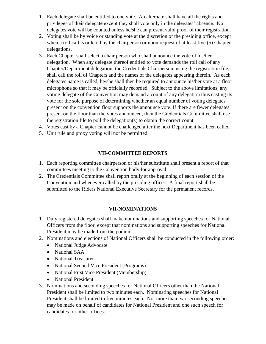- 1. Each delegate shall be entitled to one vote. An alternate shall have all the rights and privileges of their delegate except they shall vote only in the delegates' absence. No delegates vote will be counted unless he/she can present valid proof of their registration.
- 2. Voting shall be by voice or standing vote at the discretion of the presiding office, except when a roll call is ordered by the chairperson or upon request of at least five (5) Chapter delegations.
- 3. Each Chapter shall select a chair person who shall announce the vote of his/her delegation. When any delegate thereof entitled to vote demands the roll call of any Chapter/Department delegation, the Credentials Chairperson, using the registration file, shall call the roll of Chapters and the names of the delegates appearing therein. As each delegates name is called, he/she shall then be required to announce his/her vote at a floor microphone so that it may be officially recorded. Subject to the above limitations, any voting delegate of the Convention may demand a count of any delegation thus casting its vote for the sole purpose of determining whether an equal number of voting delegates present on the convention floor supports the announce vote. If there are fewer delegates present on the floor than the votes announced, then the Credentials Committee shall use the registration file to poll the delegation(s) to obtain the correct count.
- 4. Votes cast by a Chapter cannot be challenged after the next Department has been called.
- 5. Unit rule and proxy voting will not be permitted.

#### **VII-COMMITTEE REPORTS**

- 1. Each reporting committee chairperson or his/her substitute shall present a report of that committees meeting to the Convention body for approval.
- 2. The Credentials Committee shall report orally at the beginning of each session of the Convention and whenever called by the presiding officer. A final report shall be submitted to the Riders National Executive Secretary for the permanent records.

#### **VII-NOMINATIONS**

- 1. Duly registered delegates shall make nominations and supporting speeches for National Officers from the floor, except that nominations and supporting speeches for National President may be made from the podium.
- 2. Nominations and elections of National Officers shall be conducted in the following order:
	- National Judge Advocate
	- National SAA
	- National Treasurer
	- National Second Vice President (Programs)
	- National First Vice President (Membership)
	- National President
- 3. Nominations and seconding speeches for National Officers other than the National President shall be limited to two minutes each. Nominating speeches for National President shall be limited to five minutes each. Not more than two seconding speeches may be made on behalf of candidates for National President and one such speech for candidates for other offices.